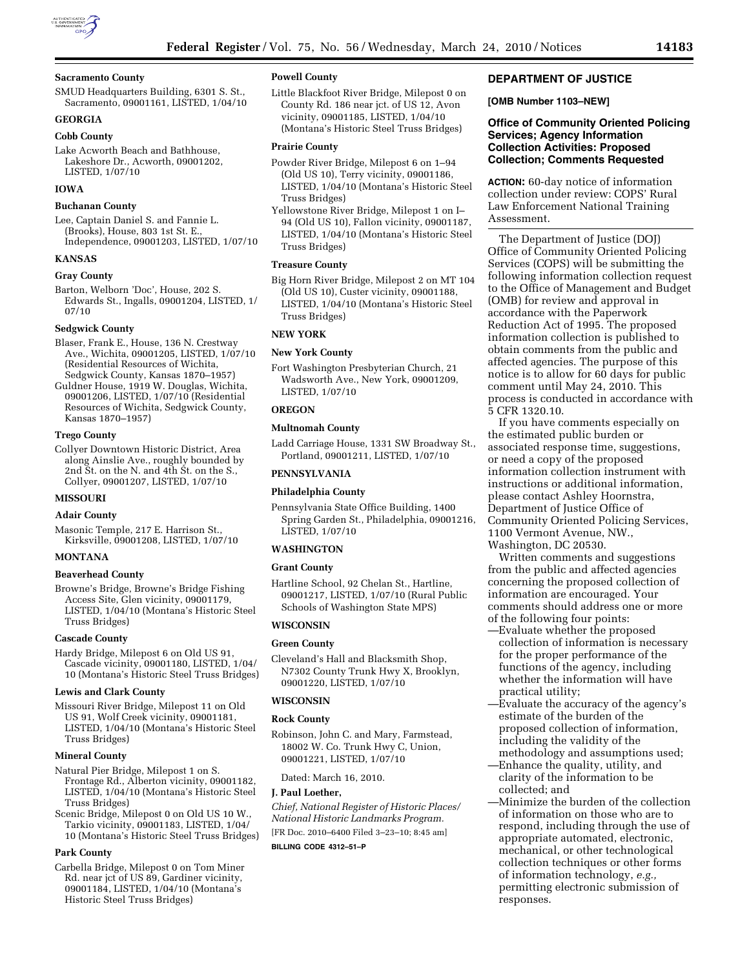

#### **Sacramento County**

SMUD Headquarters Building, 6301 S. St. Sacramento, 09001161, LISTED, 1/04/10

# **GEORGIA**

# **Cobb County**

Lake Acworth Beach and Bathhouse, Lakeshore Dr., Acworth, 09001202, LISTED, 1/07/10

### **IOWA**

#### **Buchanan County**

Lee, Captain Daniel S. and Fannie L. (Brooks), House, 803 1st St. E., Independence, 09001203, LISTED, 1/07/10

#### **KANSAS**

### **Gray County**

Barton, Welborn 'Doc', House, 202 S. Edwards St., Ingalls, 09001204, LISTED, 1/ 07/10

#### **Sedgwick County**

Blaser, Frank E., House, 136 N. Crestway Ave., Wichita, 09001205, LISTED, 1/07/10 (Residential Resources of Wichita, Sedgwick County, Kansas 1870–1957)

Guldner House, 1919 W. Douglas, Wichita, 09001206, LISTED, 1/07/10 (Residential Resources of Wichita, Sedgwick County, Kansas 1870–1957)

#### **Trego County**

Collyer Downtown Historic District, Area along Ainslie Ave., roughly bounded by 2nd St. on the N. and 4th St. on the S., Collyer, 09001207, LISTED, 1/07/10

#### **MISSOURI**

#### **Adair County**

Masonic Temple, 217 E. Harrison St., Kirksville, 09001208, LISTED, 1/07/10

### **MONTANA**

#### **Beaverhead County**

Browne's Bridge, Browne's Bridge Fishing Access Site, Glen vicinity, 09001179, LISTED, 1/04/10 (Montana's Historic Steel Truss Bridges)

#### **Cascade County**

Hardy Bridge, Milepost 6 on Old US 91, Cascade vicinity, 09001180, LISTED, 1/04/ 10 (Montana's Historic Steel Truss Bridges)

#### **Lewis and Clark County**

Missouri River Bridge, Milepost 11 on Old US 91, Wolf Creek vicinity, 09001181, LISTED, 1/04/10 (Montana's Historic Steel Truss Bridges)

#### **Mineral County**

Natural Pier Bridge, Milepost 1 on S. Frontage Rd., Alberton vicinity, 09001182, LISTED, 1/04/10 (Montana's Historic Steel Truss Bridges)

Scenic Bridge, Milepost 0 on Old US 10 W., Tarkio vicinity, 09001183, LISTED, 1/04/ 10 (Montana's Historic Steel Truss Bridges)

#### **Park County**

Carbella Bridge, Milepost 0 on Tom Miner Rd. near jct of US 89, Gardiner vicinity, 09001184, LISTED, 1/04/10 (Montana's Historic Steel Truss Bridges)

### **Powell County**

Little Blackfoot River Bridge, Milepost 0 on County Rd. 186 near jct. of US 12, Avon vicinity, 09001185, LISTED, 1/04/10 (Montana's Historic Steel Truss Bridges)

#### **Prairie County**

- Powder River Bridge, Milepost 6 on 1–94 (Old US 10), Terry vicinity, 09001186, LISTED, 1/04/10 (Montana's Historic Steel Truss Bridges)
- Yellowstone River Bridge, Milepost 1 on I– 94 (Old US 10), Fallon vicinity, 09001187, LISTED, 1/04/10 (Montana's Historic Steel Truss Bridges)

### **Treasure County**

Big Horn River Bridge, Milepost 2 on MT 104 (Old US 10), Custer vicinity, 09001188, LISTED, 1/04/10 (Montana's Historic Steel Truss Bridges)

### **NEW YORK**

#### **New York County**

Fort Washington Presbyterian Church, 21 Wadsworth Ave., New York, 09001209, LISTED, 1/07/10

### **OREGON**

### **Multnomah County**

Ladd Carriage House, 1331 SW Broadway St., Portland, 09001211, LISTED, 1/07/10

### **PENNSYLVANIA**

### **Philadelphia County**

Pennsylvania State Office Building, 1400 Spring Garden St., Philadelphia, 09001216, LISTED, 1/07/10

#### **WASHINGTON**

### **Grant County**

Hartline School, 92 Chelan St., Hartline, 09001217, LISTED, 1/07/10 (Rural Public Schools of Washington State MPS)

## **WISCONSIN**

### **Green County**

Cleveland's Hall and Blacksmith Shop, N7302 County Trunk Hwy X, Brooklyn, 09001220, LISTED, 1/07/10

### **WISCONSIN**

### **Rock County**

Robinson, John C. and Mary, Farmstead, 18002 W. Co. Trunk Hwy C, Union, 09001221, LISTED, 1/07/10

Dated: March 16, 2010.

#### **J. Paul Loether,**

*Chief, National Register of Historic Places/ National Historic Landmarks Program.*  [FR Doc. 2010–6400 Filed 3–23–10; 8:45 am]

### **BILLING CODE 4312–51–P**

### **DEPARTMENT OF JUSTICE**

### **[OMB Number 1103–NEW]**

### **Office of Community Oriented Policing Services; Agency Information Collection Activities: Proposed Collection; Comments Requested**

**ACTION:** 60-day notice of information collection under review: COPS' Rural Law Enforcement National Training Assessment.

The Department of Justice (DOJ) Office of Community Oriented Policing Services (COPS) will be submitting the following information collection request to the Office of Management and Budget (OMB) for review and approval in accordance with the Paperwork Reduction Act of 1995. The proposed information collection is published to obtain comments from the public and affected agencies. The purpose of this notice is to allow for 60 days for public comment until May 24, 2010. This process is conducted in accordance with 5 CFR 1320.10.

If you have comments especially on the estimated public burden or associated response time, suggestions, or need a copy of the proposed information collection instrument with instructions or additional information, please contact Ashley Hoornstra, Department of Justice Office of Community Oriented Policing Services, 1100 Vermont Avenue, NW., Washington, DC 20530.

Written comments and suggestions from the public and affected agencies concerning the proposed collection of information are encouraged. Your comments should address one or more of the following four points:

- —Evaluate whether the proposed collection of information is necessary for the proper performance of the functions of the agency, including whether the information will have practical utility;
- —Evaluate the accuracy of the agency's estimate of the burden of the proposed collection of information, including the validity of the methodology and assumptions used;
- —Enhance the quality, utility, and clarity of the information to be collected; and
- —Minimize the burden of the collection of information on those who are to respond, including through the use of appropriate automated, electronic, mechanical, or other technological collection techniques or other forms of information technology, *e.g.,*  permitting electronic submission of responses.